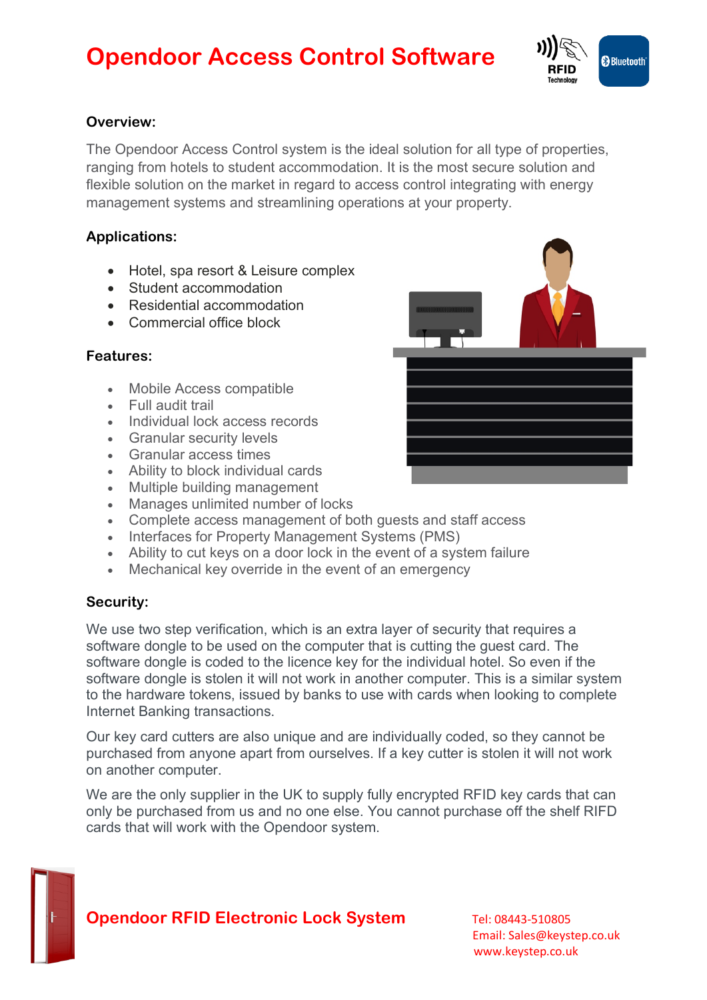# **Opendoor Access Control Software**



# **Overview:**

The Opendoor Access Control system is the ideal solution for all type of properties, ranging from hotels to student accommodation. It is the most secure solution and flexible solution on the market in regard to access control integrating with energy management systems and streamlining operations at your property.

# **Applications:**

- Hotel, spa resort & Leisure complex
- Student accommodation
- Residential accommodation
- Commercial office block

### **Features:**

- Mobile Access compatible
- Full audit trail
- Individual lock access records
- Granular security levels
- Granular access times
- Ability to block individual cards
- Multiple building management
- Manages unlimited number of locks
- Complete access management of both guests and staff access
- Interfaces for Property Management Systems (PMS)
- Ability to cut keys on a door lock in the event of a system failure
- Mechanical key override in the event of an emergency

### **Security:**

We use two step verification, which is an extra layer of security that requires a software dongle to be used on the computer that is cutting the quest card. The software dongle is coded to the licence key for the individual hotel. So even if the software dongle is stolen it will not work in another computer. This is a similar system to the hardware tokens, issued by banks to use with cards when looking to complete Internet Banking transactions.

Our key card cutters are also unique and are individually coded, so they cannot be purchased from anyone apart from ourselves. If a key cutter is stolen it will not work on another computer.

We are the only supplier in the UK to supply fully encrypted RFID key cards that can only be purchased from us and no one else. You cannot purchase off the shelf RIFD cards that will work with the Opendoor system.

# **Opendoor RFID Electronic Lock System** Tel: 08443-510805

 Email: Sales@keystep.co.uk www.keystep.co.uk